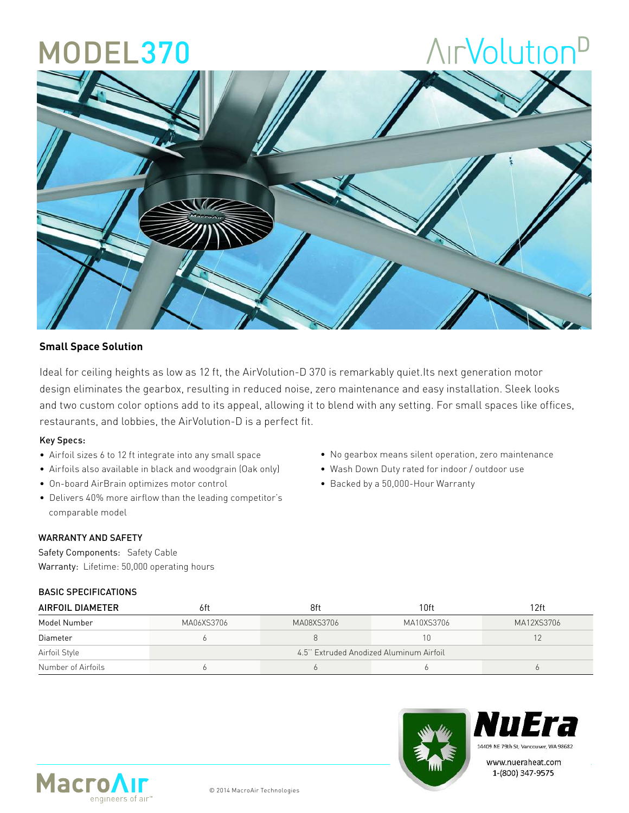### MODEL370

# **AirVolution**<sup>D</sup>



#### **Small Space Solution**

Ideal for ceiling heights as low as 12 ft, the AirVolution-D 370 is remarkably quiet.Its next generation motor design eliminates the gearbox, resulting in reduced noise, zero maintenance and easy installation. Sleek looks and two custom color options add to its appeal, allowing it to blend with any setting. For small spaces like offices, restaurants, and lobbies, the AirVolution-D is a perfect fit.

#### Key Specs:

- Airfoil sizes 6 to 12 ft integrate into any small space
- Airfoils also available in black and woodgrain (Oak only)
- On-board AirBrain optimizes motor control
- Delivers 40% more airflow than the leading competitor's comparable model

#### WARRANTY AND SAFETY

Safety Components: Safety Cable Warranty: Lifetime: 50,000 operating hours

#### BASIC SPECIFICATIONS

| • No gearbox means silent operation, zero maintenance |  |
|-------------------------------------------------------|--|
|-------------------------------------------------------|--|

- Wash Down Duty rated for indoor / outdoor use
- Backed by a 50,000-Hour Warranty

| AIRFOIL DIAMETER   | 6ft                                     | 8ft        | 10 <sub>ft</sub> | 12ft       |  |  |
|--------------------|-----------------------------------------|------------|------------------|------------|--|--|
| Model Number       | MA06XS3706                              | MA08XS3706 | MA10XS3706       | MA12XS3706 |  |  |
| Diameter           |                                         |            | Ħ.               |            |  |  |
| Airfoil Style      | 4.5" Extruded Anodized Aluminum Airfoil |            |                  |            |  |  |
| Number of Airfoils |                                         |            |                  |            |  |  |